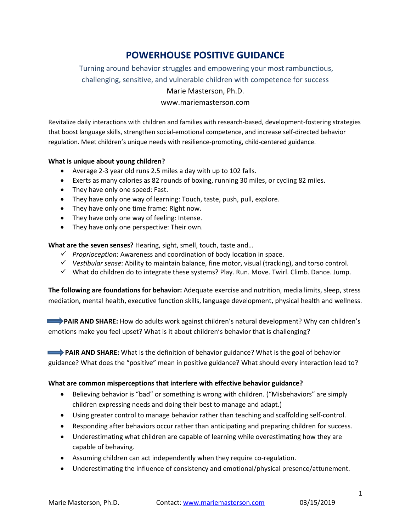# **POWERHOUSE POSITIVE GUIDANCE**

Turning around behavior struggles and empowering your most rambunctious, challenging, sensitive, and vulnerable children with competence for success Marie Masterson, Ph.D.

www.mariemasterson.com

Revitalize daily interactions with children and families with research-based, development-fostering strategies that boost language skills, strengthen social-emotional competence, and increase self-directed behavior regulation. Meet children's unique needs with resilience-promoting, child-centered guidance.

#### **What is unique about young children?**

- Average 2-3 year old runs 2.5 miles a day with up to 102 falls.
- Exerts as many calories as 82 rounds of boxing, running 30 miles, or cycling 82 miles.
- They have only one speed: Fast.
- They have only one way of learning: Touch, taste, push, pull, explore.
- They have only one time frame: Right now.
- They have only one way of feeling: Intense.
- They have only one perspective: Their own.

**What are the seven senses?** Hearing, sight, smell, touch, taste and…

- *Proprioception*: Awareness and coordination of body location in space.
- *Vestibular sense*: Ability to maintain balance, fine motor, visual (tracking), and torso control.
- What do children do to integrate these systems? Play. Run. Move. Twirl. Climb. Dance. Jump.

**The following are foundations for behavior:** Adequate exercise and nutrition, media limits, sleep, stress mediation, mental health, executive function skills, language development, physical health and wellness.

**EXTENDED SHARE:** How do adults work against children's natural development? Why can children's emotions make you feel upset? What is it about children's behavior that is challenging?

 **PAIR AND SHARE:** What is the definition of behavior guidance? What is the goal of behavior guidance? What does the "positive" mean in positive guidance? What should every interaction lead to?

### **What are common misperceptions that interfere with effective behavior guidance?**

- Believing behavior is "bad" or something is wrong with children. ("Misbehaviors" are simply children expressing needs and doing their best to manage and adapt.)
- Using greater control to manage behavior rather than teaching and scaffolding self-control.
- Responding after behaviors occur rather than anticipating and preparing children for success.
- Underestimating what children are capable of learning while overestimating how they are capable of behaving.
- Assuming children can act independently when they require co-regulation.
- Underestimating the influence of consistency and emotional/physical presence/attunement.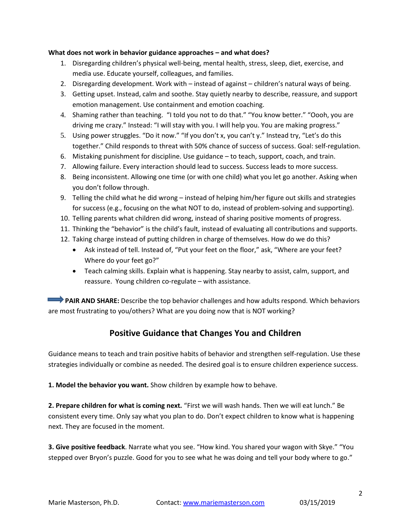### **What does not work in behavior guidance approaches – and what does?**

- 1. Disregarding children's physical well-being, mental health, stress, sleep, diet, exercise, and media use. Educate yourself, colleagues, and families.
- 2. Disregarding development. Work with instead of against children's natural ways of being.
- 3. Getting upset. Instead, calm and soothe. Stay quietly nearby to describe, reassure, and support emotion management. Use containment and emotion coaching.
- 4. Shaming rather than teaching. "I told you not to do that." "You know better." "Oooh, you are driving me crazy." Instead: "I will stay with you. I will help you. You are making progress."
- 5. Using power struggles. "Do it now." "If you don't x, you can't y." Instead try, "Let's do this together." Child responds to threat with 50% chance of success of success. Goal: self-regulation.
- 6. Mistaking punishment for discipline. Use guidance to teach, support, coach, and train.
- 7. Allowing failure. Every interaction should lead to success. Success leads to more success.
- 8. Being inconsistent. Allowing one time (or with one child) what you let go another. Asking when you don't follow through.
- 9. Telling the child what he did wrong instead of helping him/her figure out skills and strategies for success (e.g., focusing on the what NOT to do, instead of problem-solving and supporting).
- 10. Telling parents what children did wrong, instead of sharing positive moments of progress.
- 11. Thinking the "behavior" is the child's fault, instead of evaluating all contributions and supports.
- 12. Taking charge instead of putting children in charge of themselves. How do we do this?
	- Ask instead of tell. Instead of, "Put your feet on the floor," ask, "Where are your feet? Where do your feet go?"
	- Teach calming skills. Explain what is happening. Stay nearby to assist, calm, support, and reassure. Young children co-regulate – with assistance.

 **PAIR AND SHARE:** Describe the top behavior challenges and how adults respond. Which behaviors are most frustrating to you/others? What are you doing now that is NOT working?

## **Positive Guidance that Changes You and Children**

Guidance means to teach and train positive habits of behavior and strengthen self-regulation. Use these strategies individually or combine as needed. The desired goal is to ensure children experience success.

**1. Model the behavior you want.** Show children by example how to behave.

**2. Prepare children for what is coming next.** "First we will wash hands. Then we will eat lunch." Be consistent every time. Only say what you plan to do. Don't expect children to know what is happening next. They are focused in the moment.

**3. Give positive feedback**. Narrate what you see. "How kind. You shared your wagon with Skye." "You stepped over Bryon's puzzle. Good for you to see what he was doing and tell your body where to go."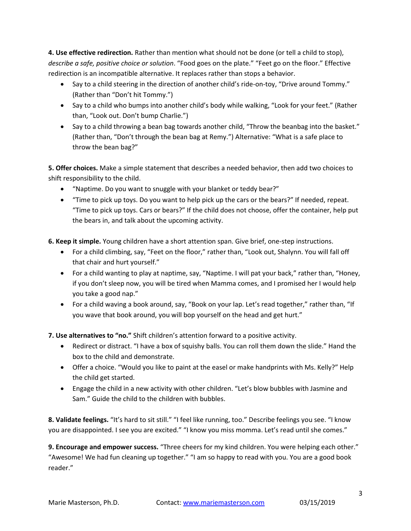**4. Use effective redirection.** Rather than mention what should not be done (or tell a child to stop), *describe a safe, positive choice or solution*. "Food goes on the plate." "Feet go on the floor." Effective redirection is an incompatible alternative. It replaces rather than stops a behavior.

- Say to a child steering in the direction of another child's ride-on-toy, "Drive around Tommy." (Rather than "Don't hit Tommy.")
- Say to a child who bumps into another child's body while walking, "Look for your feet." (Rather than, "Look out. Don't bump Charlie.")
- Say to a child throwing a bean bag towards another child, "Throw the beanbag into the basket." (Rather than, "Don't through the bean bag at Remy.") Alternative: "What is a safe place to throw the bean bag?"

**5. Offer choices.** Make a simple statement that describes a needed behavior, then add two choices to shift responsibility to the child.

- "Naptime. Do you want to snuggle with your blanket or teddy bear?"
- "Time to pick up toys. Do you want to help pick up the cars or the bears?" If needed, repeat. "Time to pick up toys. Cars or bears?" If the child does not choose, offer the container, help put the bears in, and talk about the upcoming activity.

**6. Keep it simple.** Young children have a short attention span. Give brief, one-step instructions.

- For a child climbing, say, "Feet on the floor," rather than, "Look out, Shalynn. You will fall off that chair and hurt yourself."
- For a child wanting to play at naptime, say, "Naptime. I will pat your back," rather than, "Honey, if you don't sleep now, you will be tired when Mamma comes, and I promised her I would help you take a good nap."
- For a child waving a book around, say, "Book on your lap. Let's read together," rather than, "If you wave that book around, you will bop yourself on the head and get hurt."

**7. Use alternatives to "no."** Shift children's attention forward to a positive activity.

- Redirect or distract. "I have a box of squishy balls. You can roll them down the slide." Hand the box to the child and demonstrate.
- Offer a choice. "Would you like to paint at the easel or make handprints with Ms. Kelly?" Help the child get started.
- Engage the child in a new activity with other children. "Let's blow bubbles with Jasmine and Sam." Guide the child to the children with bubbles.

**8. Validate feelings.** "It's hard to sit still." "I feel like running, too." Describe feelings you see. "I know you are disappointed. I see you are excited." "I know you miss momma. Let's read until she comes."

**9. Encourage and empower success.** "Three cheers for my kind children. You were helping each other." "Awesome! We had fun cleaning up together." "I am so happy to read with you. You are a good book reader."